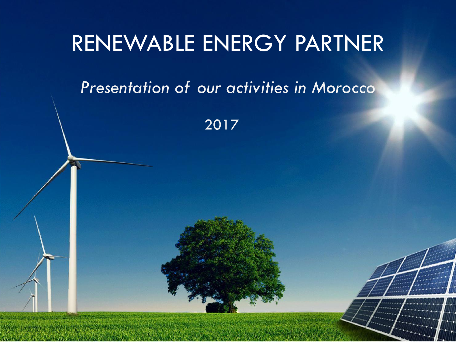### RENEWABLE ENERGY PARTNER

### *Presentation of our activities in Morocco*

2017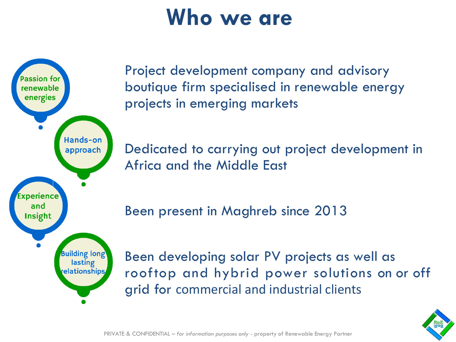### **Who we are**



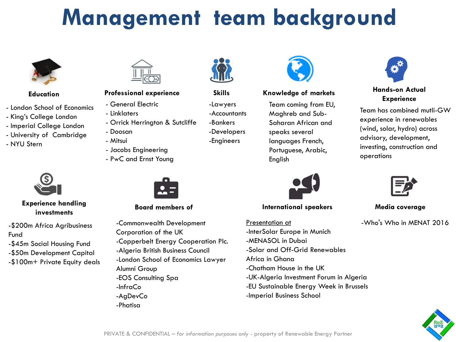# **Management team background**



#### **Education**

- London School of Economics
- King's College London
- Imperial College London
- University of Cambridge
- NYU Stern



**Experience handling investments**

-\$200m Africa Agribusiness Fund -\$45m Social Housing Fund -\$50m Development Capital -\$100m+ Private Equity deals



#### **Professional experience Skills**

- General Electric
- Linklaters
- Orrick Herrington & Sutcliffe
- Doosan
- Mitsui
- Jacobs Engineering
- PwC and Ernst Young



**Board members of**

-Commonwealth Development Corporation of the UK -Copperbelt Energy Cooperation Plc. -Algeria British Business Council -London School of Economics Lawyer Alumni Group -EOS Consulting Spa -InfraCo -AgDevCo -Phatisa



### -Lawyers

- -Accountants
- -Bankers
- -Developers
- -Engineers



#### **Knowledge of markets**

Team coming from EU, Maghreb and Sub-Saharan African and speaks several languages French, Portuguese, Arabic, English



**International speakers Media coverage**

Presentation at -InterSolar Europe in Munich -MENASOL in Dubai -Solar and Off-Grid Renewables Africa in Ghana -Chatham House in the UK -UK-Algeria Investment Forum in Algeria -EU Sustainable Energy Week in Brussels -Imperial Business School



#### **Hands-on Actual Experience**

Team has combined mutli-GW experience in renewables (wind, solar, hydro) across advisory, development, investing, construction and operations



-Who's Who in MENAT 2016

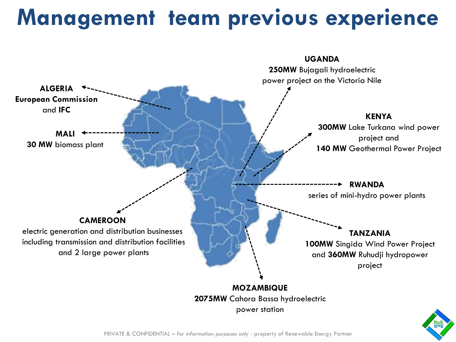## **Management team previous experience**

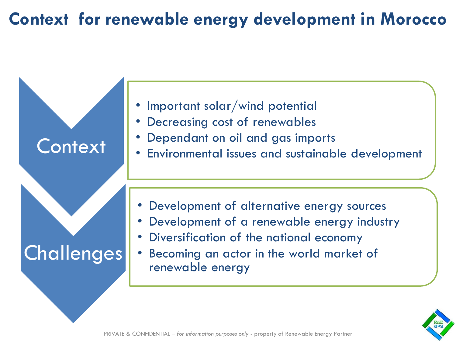### **Context for renewable energy development in Morocco**



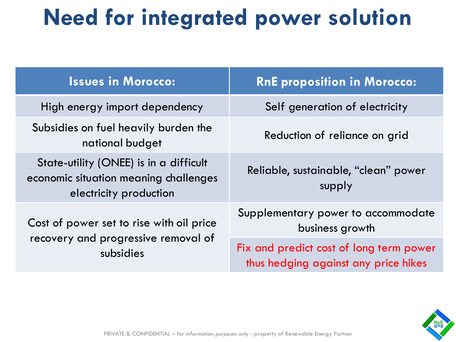# **Need for integrated power solution**

| <b>Issues in Morocco:</b>                                                                                 | <b>RnE proposition in Morocco:</b>                                              |
|-----------------------------------------------------------------------------------------------------------|---------------------------------------------------------------------------------|
| High energy import dependency                                                                             | Self generation of electricity                                                  |
| Subsidies on fuel heavily burden the<br>national budget                                                   | Reduction of reliance on grid                                                   |
| State-utility (ONEE) is in a difficult<br>economic situation meaning challenges<br>electricity production | Reliable, sustainable, "clean" power<br>supply                                  |
| Cost of power set to rise with oil price<br>recovery and progressive removal of<br>subsidies              | Supplementary power to accommodate<br>business growth                           |
|                                                                                                           | Fix and predict cost of long term power<br>thus hedging against any price hikes |

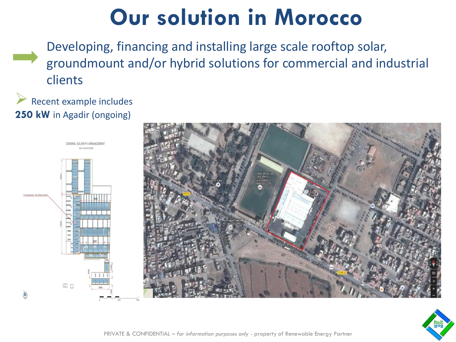## **Our solution in Morocco**

Developing, financing and installing large scale rooftop solar, groundmount and/or hybrid solutions for commercial and industrial clients

#### Recent example includes **250 kW** in Agadir (ongoing)



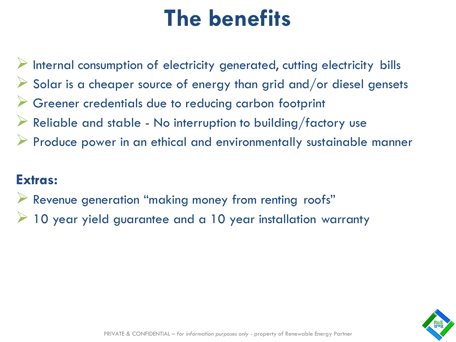# **The benefits**

➢ Internal consumption of electricity generated, cutting electricity bills Solar is a cheaper source of energy than grid and/or diesel gensets ➢ Greener credentials due to reducing carbon footprint  $\triangleright$  Reliable and stable - No interruption to building/factory use ➢ Produce power in an ethical and environmentally sustainable manner

### **Extras:**

- ➢ Revenue generation "making money from renting roofs"
- 10 year yield guarantee and a 10 year installation warranty

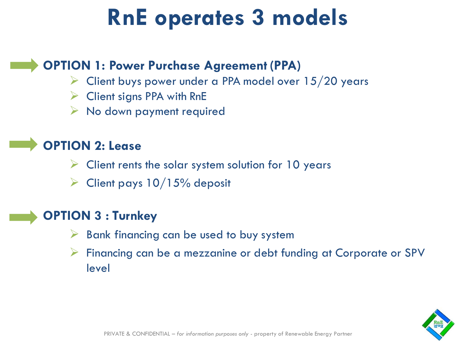# **RnE operates 3 models**

#### **OPTION 1: Power Purchase Agreement (PPA)**

- $\triangleright$  Client buys power under a PPA model over 15/20 years
- ➢ Client signs PPA with RnE
- $\triangleright$  No down payment required

### **OPTION 2: Lease**

- $\triangleright$  Client rents the solar system solution for 10 years
- $\triangleright$  Client pays 10/15% deposit

#### **OPTION 3 : Turnkey**

- $\triangleright$  Bank financing can be used to buy system
- ➢ Financing can be a mezzanine or debt funding at Corporate or SPV level